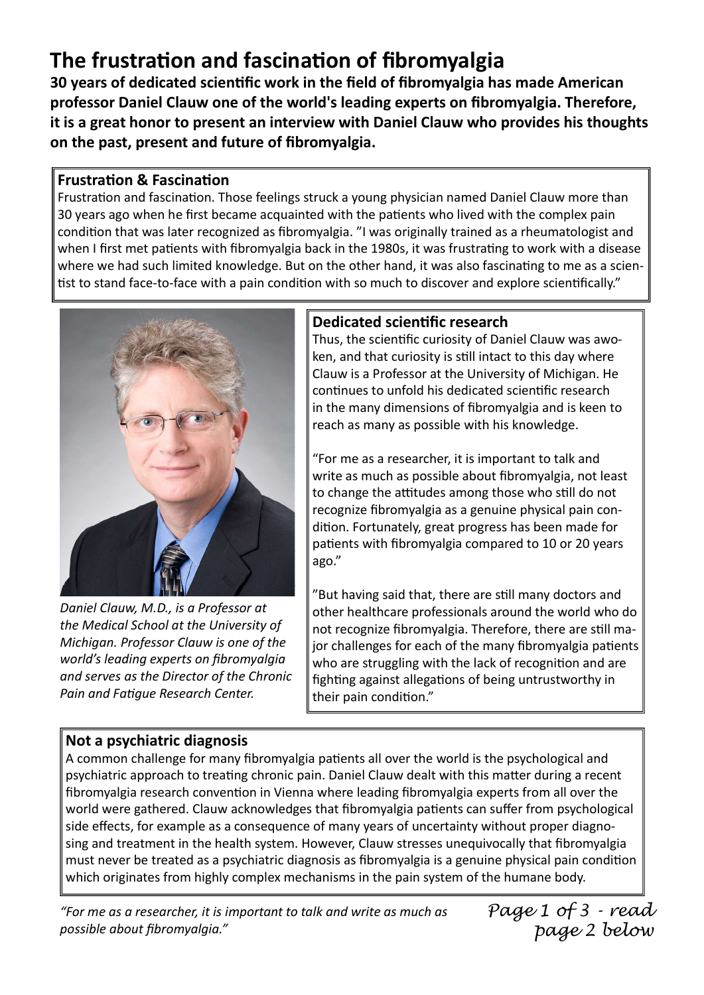# The frustration and fascination of fibromyalgia

30 years of dedicated scientific work in the field of fibromyalgia has made American professor Daniel Clauw one of the world's leading experts on fibromyalgia. Therefore, it is a great honor to present an interview with Daniel Clauw who provides his thoughts on the past, present and future of fibromyalgia.

## **Frustration & Fascination**

Frustration and fascination. Those feelings struck a young physician named Daniel Clauw more than 30 years ago when he first became acquainted with the patients who lived with the complex pain condition that was later recognized as fibromyalgia. "I was originally trained as a rheumatologist and when I first met patients with fibromyalgia back in the 1980s, it was frustrating to work with a disease where we had such limited knowledge. But on the other hand, it was also fascinating to me as a scientist to stand face-to-face with a pain condition with so much to discover and explore scientifically."



Daniel Clauw, M.D., is a Professor at the Medical School at the University of Michigan. Professor Clauw is one of the world's leading experts on fibromyalgia and serves as the Director of the Chronic Pain and Fatique Research Center.

# Dedicated scientific research

Thus, the scientific curiosity of Daniel Clauw was awoken, and that curiosity is still intact to this day where Clauw is a Professor at the University of Michigan. He continues to unfold his dedicated scientific research in the many dimensions of fibromyalgia and is keen to reach as many as possible with his knowledge.

"For me as a researcher, it is important to talk and write as much as possible about fibromyalgia, not least to change the attitudes among those who still do not recognize fibromyalgia as a genuine physical pain condition. Fortunately, great progress has been made for patients with fibromyalgia compared to 10 or 20 years ago."

"But having said that, there are still many doctors and other healthcare professionals around the world who do not recognize fibromyalgia. Therefore, there are still major challenges for each of the many fibromyalgia patients who are struggling with the lack of recognition and are fighting against allegations of being untrustworthy in their pain condition."

# Not a psychiatric diagnosis

A common challenge for many fibromyalgia patients all over the world is the psychological and psychiatric approach to treating chronic pain. Daniel Clauw dealt with this matter during a recent fibromyalgia research convention in Vienna where leading fibromyalgia experts from all over the world were gathered. Clauw acknowledges that fibromyalgia patients can suffer from psychological side effects, for example as a consequence of many years of uncertainty without proper diagnosing and treatment in the health system. However, Clauw stresses unequivocally that fibromyalgia must never be treated as a psychiatric diagnosis as fibromyalgia is a genuine physical pain condition which originates from highly complex mechanisms in the pain system of the humane body.

"For me as a researcher, it is important to talk and write as much as possible about fibromyalgia."

Page 1 of 3 - read page 2 below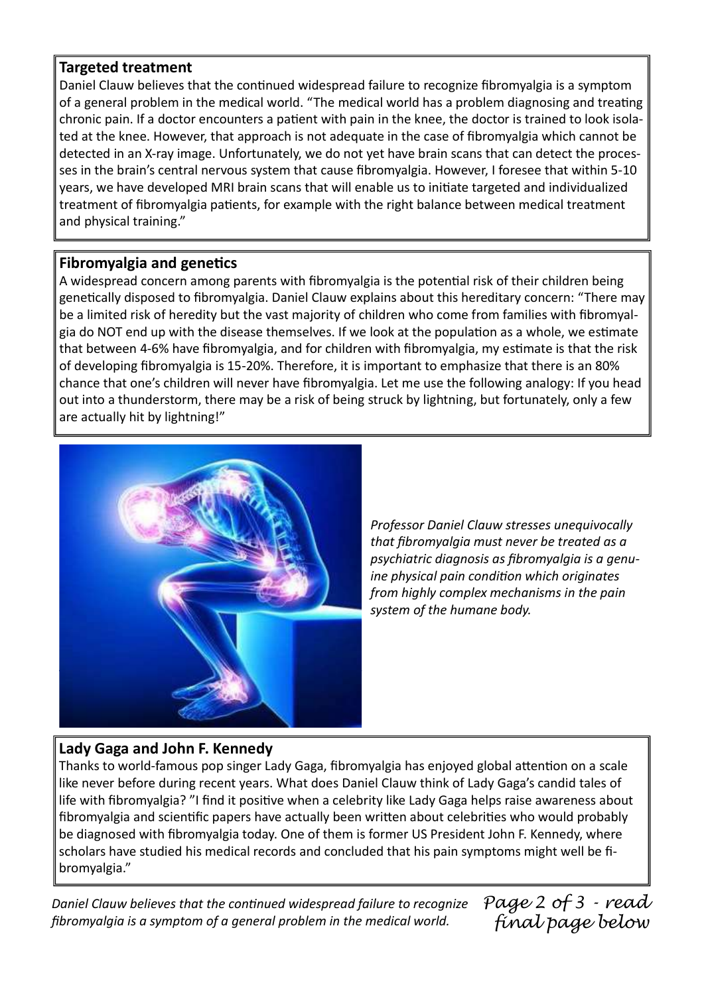#### Targeted treatment

Daniel Clauw believes that the continued widespread failure to recognize fibromyalgia is a symptom of a general problem in the medical world. "The medical world has a problem diagnosing and treating chronic pain. If a doctor encounters a patient with pain in the knee, the doctor is trained to look isolated at the knee. However, that approach is not adequate in the case of fibromyalgia which cannot be detected in an X-ray image. Unfortunately, we do not yet have brain scans that can detect the processes in the brain's central nervous system that cause fibromyalgia. However, I foresee that within 5-10 years, we have developed MRI brain scans that will enable us to initiate targeted and individualized treatment of fibromyalgia patients, for example with the right balance between medical treatment and physical training."

### Fibromyalgia and genetics

A widespread concern among parents with fibromyalgia is the potential risk of their children being genetically disposed to fibromyalgia. Daniel Clauw explains about this hereditary concern: "There may be a limited risk of heredity but the vast majority of children who come from families with fibromyalgia do NOT end up with the disease themselves. If we look at the population as a whole, we estimate that between 4-6% have fibromyalgia, and for children with fibromyalgia, my estimate is that the risk of developing fibromyalgia is 15-20%. Therefore, it is important to emphasize that there is an 80% chance that one's children will never have fibromyalgia. Let me use the following analogy: If you head out into a thunderstorm, there may be a risk of being struck by lightning, but fortunately, only a few are actually hit by lightning!"



Professor Daniel Clauw stresses unequivocally that fibromyalgia must never be treated as a psychiatric diagnosis as fibromyalgia is a genuine physical pain condition which originates from highly complex mechanisms in the pain system of the humane body.

## Lady Gaga and John F. Kennedy

Thanks to world-famous pop singer Lady Gaga, fibromyalgia has enjoyed global attention on a scale like never before during recent years. What does Daniel Clauw think of Lady Gaga's candid tales of life with fibromyalgia? "I find it positive when a celebrity like Lady Gaga helps raise awareness about fibromyalgia and scientific papers have actually been written about celebrities who would probably be diagnosed with fibromyalgia today. One of them is former US President John F. Kennedy, where scholars have studied his medical records and concluded that his pain symptoms might well be fibromyalgia."

Daniel Clauw believes that the continued widespread failure to recognize fibromyalgia is a symptom of a general problem in the medical world.

Page 2 of 3 - read final page below